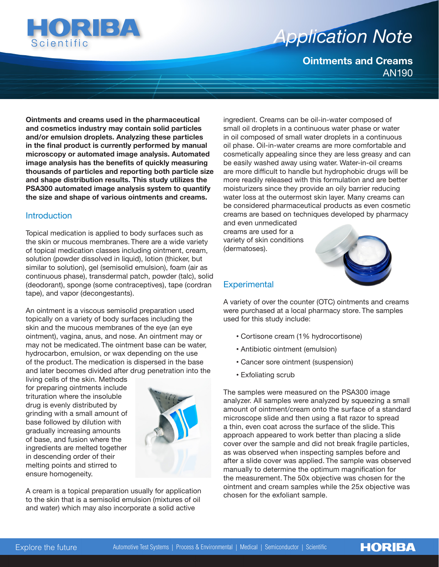

# *Application Note Application Note*

**Ointments and Creams** AN190

**Ointments and creams used in the pharmaceutical and cosmetics industry may contain solid particles and/or emulsion droplets. Analyzing these particles in the final product is currently performed by manual microscopy or automated image analysis. Automated image analysis has the benefits of quickly measuring thousands of particles and reporting both particle size and shape distribution results. This study utilizes the PSA300 automated image analysis system to quantify the size and shape of various ointments and creams.**

#### **Introduction**

Topical medication is applied to body surfaces such as the skin or mucous membranes. There are a wide variety of topical medication classes including ointment, cream, solution (powder dissolved in liquid), lotion (thicker, but similar to solution), gel (semisolid emulsion), foam (air as continuous phase), transdermal patch, powder (talc), solid (deodorant), sponge (some contraceptives), tape (cordran tape), and vapor (decongestants).

An ointment is a viscous semisolid preparation used topically on a variety of body surfaces including the skin and the mucous membranes of the eye (an eye ointment), vagina, anus, and nose. An ointment may or may not be medicated. The ointment base can be water, hydrocarbon, emulsion, or wax depending on the use of the product. The medication is dispersed in the base and later becomes divided after drug penetration into the

living cells of the skin. Methods for preparing ointments include trituration where the insoluble drug is evenly distributed by grinding with a small amount of base followed by dilution with gradually increasing amounts of base, and fusion where the ingredients are melted together in descending order of their melting points and stirred to ensure homogeneity.



A cream is a topical preparation usually for application to the skin that is a semisolid emulsion (mixtures of oil and water) which may also incorporate a solid active

ingredient. Creams can be oil-in-water composed of small oil droplets in a continuous water phase or water in oil composed of small water droplets in a continuous oil phase. Oil-in-water creams are more comfortable and cosmetically appealing since they are less greasy and can be easily washed away using water. Water-in-oil creams are more difficult to handle but hydrophobic drugs will be more readily released with this formulation and are better moisturizers since they provide an oily barrier reducing water loss at the outermost skin layer. Many creams can be considered pharmaceutical products as even cosmetic creams are based on techniques developed by pharmacy

and even unmedicated creams are used for a variety of skin conditions (dermatoses).



**HORIBA** 

### **Experimental**

A variety of over the counter (OTC) ointments and creams were purchased at a local pharmacy store. The samples used for this study include:

- Cortisone cream (1% hydrocortisone)
- Antibiotic ointment (emulsion)
- Cancer sore ointment (suspension)
- Exfoliating scrub

The samples were measured on the PSA300 image analyzer. All samples were analyzed by squeezing a small amount of ointment/cream onto the surface of a standard microscope slide and then using a flat razor to spread a thin, even coat across the surface of the slide. This approach appeared to work better than placing a slide cover over the sample and did not break fragile particles, as was observed when inspecting samples before and after a slide cover was applied. The sample was observed manually to determine the optimum magnification for the measurement. The 50x objective was chosen for the ointment and cream samples while the 25x objective was chosen for the exfoliant sample.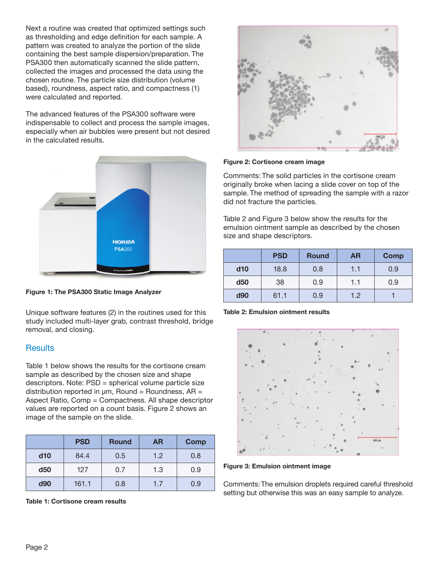Next a routine was created that optimized settings such as thresholding and edge definition for each sample. A pattern was created to analyze the portion of the slide containing the best sample dispersion/preparation. The PSA300 then automatically scanned the slide pattern, collected the images and processed the data using the chosen routine. The particle size distribution (volume based), roundness, aspect ratio, and compactness (1) were calculated and reported.

The advanced features of the PSA300 software were indispensable to collect and process the sample images, especially when air bubbles were present but not desired in the calculated results.



**Figure 1: The PSA300 Static Image Analyzer** 

Unique software features (2) in the routines used for this study included multi-layer grab, contrast threshold, bridge removal, and closing.

## **Results**

Table 1 below shows the results for the cortisone cream sample as described by the chosen size and shape descriptors. Note: PSD = spherical volume particle size distribution reported in  $\mu$ m, Round = Roundness, AR = Aspect Ratio, Comp = Compactness. All shape descriptor values are reported on a count basis. Figure 2 shows an image of the sample on the slide.

|     | <b>PSD</b> | <b>Round</b> | <b>AR</b> | <b>Comp</b> |
|-----|------------|--------------|-----------|-------------|
| dd0 | 84.4       | 0.5          | 1.2       | 0.8         |
| d50 | 127        | 0.7          | 1.3       | 0.9         |
| d90 | 161.1      | 0.8          | 1.7       | 0.9         |

**Table 1: Cortisone cream results** 



#### **Figure 2: Cortisone cream image**

Comments: The solid particles in the cortisone cream originally broke when lacing a slide cover on top of the sample. The method of spreading the sample with a razor did not fracture the particles.

Table 2 and Figure 3 below show the results for the emulsion ointment sample as described by the chosen size and shape descriptors.

|     | <b>PSD</b> | <b>Round</b> | <b>AR</b> | <b>Comp</b> |
|-----|------------|--------------|-----------|-------------|
| d10 | 18.8       | 0.8          | 1.1       | 0.9         |
| d50 | 38         | 0.9          | 1.1       | 0.9         |
| d90 | 61.1       | 0.9          | 1.2       |             |





**Figure 3: Emulsion ointment image**

Comments: The emulsion droplets required careful threshold setting but otherwise this was an easy sample to analyze.